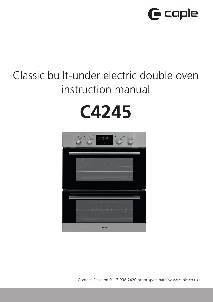

## Classic built-under electric double oven instruction manual

# **C4245**



Contact Caple on 0117 938 7420 or for spare parts www.caple.co.uk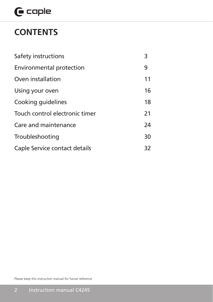## $\mathbf \Theta$  caple

## **CONTENTS**

| Safety instructions            | 3  |
|--------------------------------|----|
| Environmental protection       | 9  |
| Oven installation              | 11 |
| Using your oven                | 16 |
| Cooking quidelines             | 18 |
| Touch control electronic timer | 21 |
| Care and maintenance           | 24 |
| Troubleshooting                | 30 |
| Caple Service contact details  | 32 |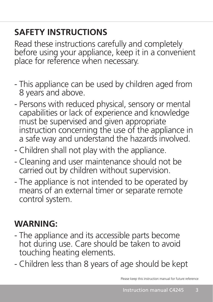## **SAFETY INSTRUCTIONS**

Read these instructions carefully and completely before using your appliance, keep it in a convenient place for reference when necessary.

- This appliance can be used by children aged from 8 years and above.
- Persons with reduced physical, sensory or mental capabilities or lack of experience and knowledge must be supervised and given appropriate instruction concerning the use of the appliance in a safe way and understand the hazards involved.
- Children shall not play with the appliance.
- Cleaning and user maintenance should not be carried out by children without supervision.
- The appliance is not intended to be operated by means of an external timer or separate remote control system.

## **WARNING:**

- The appliance and its accessible parts become hot during use. Care should be taken to avoid touching heating elements.
- Children less than 8 years of age should be kept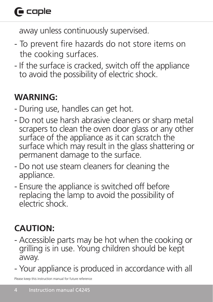## $\bigcap$  caple

away unless continuously supervised.

- To prevent fire hazards do not store items on the cooking surfaces.
- If the surface is cracked, switch off the appliance to avoid the possibility of electric shock.

## **WARNING:**

- During use, handles can get hot.
- Do not use harsh abrasive cleaners or sharp metal scrapers to clean the oven door glass or any other surface of the appliance as it can scratch the surface which may result in the glass shattering or permanent damage to the surface.
- Do not use steam cleaners for cleaning the appliance.
- Ensure the appliance is switched off before replacing the lamp to avoid the possibility of electric shock.

## **CAUTION:**

- Accessible parts may be hot when the cooking or grilling is in use. Young children should be kept away.
- Your appliance is produced in accordance with all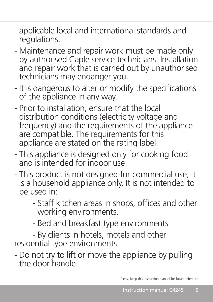applicable local and international standards and regulations.

- Maintenance and repair work must be made only by authorised Caple service technicians. Installation and repair work that is carried out by unauthorised technicians may endanger you.
- It is dangerous to alter or modify the specifications of the appliance in any way.
- Prior to installation, ensure that the local distribution conditions (electricity voltage and frequency) and the requirements of the appliance are compatible. The requirements for this appliance are stated on the rating label.
- This appliance is designed only for cooking food and is intended for indoor use.
- This product is not designed for commercial use, it is a household appliance only. It is not intended to be used in:
	- Staff kitchen areas in shops, offices and other working environments.
	- Bed and breakfast type environments

- By clients in hotels, motels and other residential type environments

- Do not try to lift or move the appliance by pulling the door handle.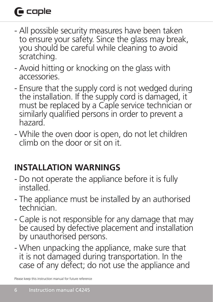## $\bigcap$  caple

- All possible security measures have been taken to ensure your safety. Since the glass may break, you should be careful while cleaning to avoid scratching.
- Avoid hitting or knocking on the glass with accessories.
- Ensure that the supply cord is not wedged during the installation. If the supply cord is damaged, it must be replaced by a Caple service technician or similarly qualified persons in order to prevent a hazard.
- While the oven door is open, do not let children climb on the door or sit on it.

## **INSTALLATION WARNINGS**

- Do not operate the appliance before it is fully installed.
- The appliance must be installed by an authorised technician.
- Caple is not responsible for any damage that may be caused by defective placement and installation by unauthorised persons.
- When unpacking the appliance, make sure that it is not damaged during transportation. In the case of any defect; do not use the appliance and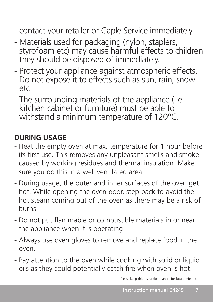contact your retailer or Caple Service immediately.

- Materials used for packaging (nylon, staplers, styrofoam etc) may cause harmful effects to children they should be disposed of immediately.
- Protect your appliance against atmospheric effects. Do not expose it to effects such as sun, rain, snow etc.
- The surrounding materials of the appliance (i.e. kitchen cabinet or furniture) must be able to withstand a minimum temperature of 120°C.

### **DURING USAGE**

- Heat the empty oven at max. temperature for 1 hour before its first use. This removes any unpleasant smells and smoke caused by working residues and thermal insulation. Make sure you do this in a well ventilated area.
- During usage, the outer and inner surfaces of the oven get hot. While opening the oven door, step back to avoid the hot steam coming out of the oven as there may be a risk of burns.
- Do not put flammable or combustible materials in or near the appliance when it is operating.
- Always use oven gloves to remove and replace food in the oven.
- Pay attention to the oven while cooking with solid or liquid oils as they could potentially catch fire when oven is hot.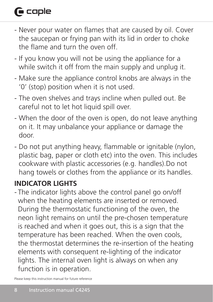## $\bigcap$  caple

- Never pour water on flames that are caused by oil. Cover the saucepan or frying pan with its lid in order to choke the flame and turn the oven off.
- If you know you will not be using the appliance for a while switch it off from the main supply and unplug it.
- Make sure the appliance control knobs are always in the '0' (stop) position when it is not used.
- The oven shelves and trays incline when pulled out. Be careful not to let hot liquid spill over.
- When the door of the oven is open, do not leave anything on it. It may unbalance your appliance or damage the door.
- Do not put anything heavy, flammable or ignitable (nylon, plastic bag, paper or cloth etc) into the oven. This includes cookware with plastic accessories (e.g. handles).Do not hang towels or clothes from the appliance or its handles.

### **INDICATOR LIGHTS**

- The indicator lights above the control panel go on/off when the heating elements are inserted or removed. During the thermostatic functioning of the oven, the neon light remains on until the pre-chosen temperature is reached and when it goes out, this is a sign that the temperature has been reached. When the oven cools, the thermostat determines the re-insertion of the heating elements with consequent re-lighting of the indicator lights. The internal oven light is always on when any function is in operation.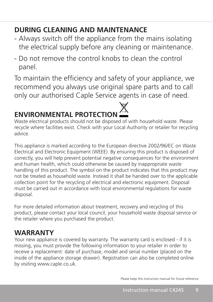### **DURING CLEANING AND MAINTENANCE**

- Always switch off the appliance from the mains isolating the electrical supply before any cleaning or maintenance.
- Do not remove the control knobs to clean the control panel.

To maintain the efficiency and safety of your appliance, we recommend you always use original spare parts and to call only our authorised Caple Service agents in case of need.

## **ENVIRONMENTAL PROTECTION**

Waste electrical products should not be disposed of with household waste. Please recycle where facilities exist. Check with your Local Authority or retailer for recycling advice.

This appliance is marked according to the European directive 2002/96/EC on Waste Electrical and Electronic Equipment (WEEE). By ensuring this product is disposed of correctly, you will help prevent potential negative consequences for the environment and human health, which could otherwise be caused by inappropriate waste handling of this product. The symbol on the product indicates that this product may not be treated as household waste. Instead it shall be handed over to the applicable collection point for the recycling of electrical and electronic equipment. Disposal must be carried out in accordance with local environmental regulations for waste disposal.

For more detailed information about treatment, recovery and recycling of this product, please contact your local council, your household waste disposal service or the retailer where you purchased the product.

### **WARRANTY**

Your new appliance is covered by warranty. The warranty card is enclosed - if it is missing, you must provide the following information to your retailer in order to receive a replacement: date of purchase, model and serial number (placed on the inside of the appliance storage drawer). Registration can also be completed online by visiting www.caple.co.uk.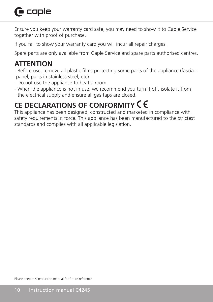## **G** caple

Ensure you keep your warranty card safe, you may need to show it to Caple Service together with proof of purchase.

If you fail to show your warranty card you will incur all repair charges.

Spare parts are only available from Caple Service and spare parts authorised centres.

### **ATTENTION**

- Before use, remove all plastic films protecting some parts of the appliance (fascia panel, parts in stainless steel, etc)
- Do not use the appliance to heat a room.
- When the appliance is not in use, we recommend you turn it off, isolate it from the electrical supply and ensure all gas taps are closed.

### **CE DECLARATIONS OF CONFORMITY**

This appliance has been designed, constructed and marketed in compliance with safety requirements in force. This appliance has been manufactured to the strictest standards and complies with all applicable legislation.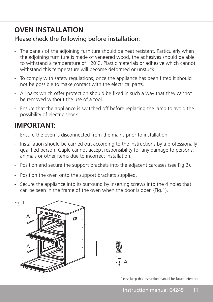### **OVEN INSTALLATION**

#### Please check the following before installation:

- The panels of the adjoining furniture should be heat resistant. Particularly when the adjoining furniture is made of veneered wood, the adhesives should be able to withstand a temperature of 120˚C. Plastic materials or adhesive which cannot withstand this temperature will become deformed or unstuck.
- To comply with safety regulations, once the appliance has been fitted it should not be possible to make contact with the electrical parts.
- All parts which offer protection should be fixed in such a way that they cannot be removed without the use of a tool.
- Ensure that the appliance is switched off before replacing the lamp to avoid the possibility of electric shock.

### **IMPORTANT:**

- Ensure the oven is disconnected from the mains prior to installation.
- Installation should be carried out according to the instructions by a professionally qualified person. Caple cannot accept responsibility for any damage to persons, animals or other items due to incorrect installation.
- Position and secure the support brackets into the adjacent carcases (see Fig.2).
- Position the oven onto the support brackets supplied.
- Secure the appliance into its surround by inserting screws into the 4 holes that can be seen in the frame of the oven when the door is open (Fig.1).

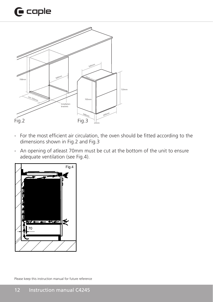## $\mathbf \Theta$  caple



- For the most efficient air circulation, the oven should be fitted according to the dimensions shown in Fig.2 and Fig.3
- An opening of atleast 70mm must be cut at the bottom of the unit to ensure adequate ventilation (see Fig.4).

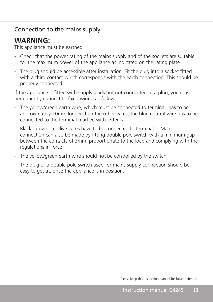#### Connection to the mains supply

#### **WARNING:**

This appliance must be earthed

- Check that the power rating of the mains supply and of the sockets are suitable for the maximum power of the appliance as indicated on the rating plate.
- The plug should be accessible after installation. Fit the plug into a socket fitted with a third contact which corresponds with the earth connection. This should be properly connected.

If the appliance is fitted with supply leads but not connected to a plug, you must permanently connect to fixed wiring as follow:

- The yellow/green earth wire, which must be connected to terminal, has to be approximately 10mm longer than the other wires; the blue neutral wire has to be connected to the terminal marked with letter N.
- Black, brown, red live wires have to be connected to terminal L. Mains connection can also be made by fitting double pole switch with a minimum gap between the contacts of 3mm, proportionate to the load and complying with the regulations in force.
- The yellow/green earth wire should not be controlled by the switch.
- The plug or a double pole switch used for mains supply connection should be easy to get at, once the appliance is in position.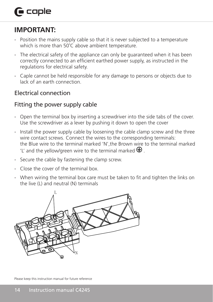## $\bigcap$  caple

### **IMPORTANT:**

- Position the mains supply cable so that it is never subjected to a temperature which is more than 50°C above ambient temperature.
- The electrical safety of the appliance can only be guaranteed when it has been correctly connected to an efficient earthed power supply, as instructed in the regulations for electrical safety.
- Caple cannot be held responsible for any damage to persons or objects due to lack of an earth connection.

#### Electrical connection

#### Fitting the power supply cable

- Open the terminal box by inserting a screwdriver into the side tabs of the cover. Use the screwdriver as a lever by pushing it down to open the cover
- Install the power supply cable by loosening the cable clamp screw and the three wire contact screws. Connect the wires to the corresponding terminals: the Blue wire to the terminal marked 'N',the Brown wire to the terminal marked 'L' and the yellow/green wire to the terminal marked  $\bigoplus$ .
- Secure the cable by fastening the clamp screw.
- Close the cover of the terminal box.
- When wiring the terminal box care must be taken to fit and tighten the links on the live (L) and neutral (N) terminals

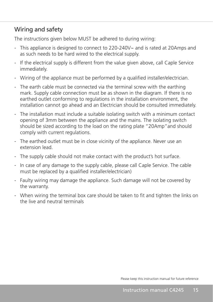#### Wiring and safety

The instructions given below MUST be adhered to during wiring:

- This appliance is designed to connect to 220-240V~ and is rated at 20Amps and as such needs to be hard wired to the electrical supply.
- If the electrical supply is different from the value given above, call Caple Service immediately.
- Wiring of the appliance must be performed by a qualified installer/electrician.
- The earth cable must be connected via the terminal screw with the earthing mark. Supply cable connection must be as shown in the diagram. If there is no earthed outlet conforming to regulations in the installation environment, the installation cannot go ahead and an Electrician should be consulted immediately.
- The installation must include a suitable isolating switch with a minimum contact opening of 3mm between the appliance and the mains. The isolating switch should be sized according to the load on the rating plate "20Amp"and should comply with current regulations.
- The earthed outlet must be in close vicinity of the appliance. Never use an extension lead.
- The supply cable should not make contact with the product's hot surface.
- In case of any damage to the supply cable, please call Caple Service. The cable must be replaced by a qualified installer/electrician)
- Faulty wiring may damage the appliance. Such damage will not be covered by the warranty.
- When wiring the terminal box care should be taken to fit and tighten the links on the live and neutral terminals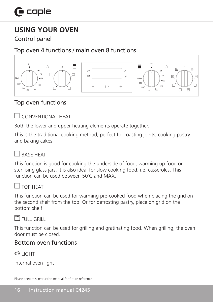### **USING YOUR OVEN**

Control panel

#### Top oven 4 functions / main oven 8 functions



#### Top oven functions

#### CONVENTIONAL HEAT

Both the lower and upper heating elements operate together.

This is the traditional cooking method, perfect for roasting joints, cooking pastry and baking cakes.

#### $\Box$ RASE HEAT

This function is good for cooking the underside of food, warming up food or sterilising glass jars. It is also ideal for slow cooking food, i.e. casseroles. This function can be used between 50˚C and MAX.



#### $\overline{\phantom{a}}$  TOP HEAT

This function can be used for warming pre-cooked food when placing the grid on the second shelf from the top. Or for defrosting pastry, place on grid on the bottom shelf.

#### $\check{\mathbb{I}}$  full grill

This function can be used for grilling and gratinating food. When grilling, the oven door must be closed.

#### Bottom oven functions

 $\mathbb{Z}$  LIGHT

Internal oven light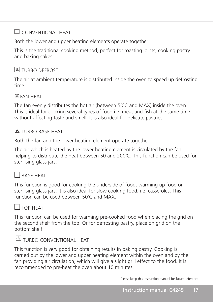#### CONVENTIONAL HEAT

Both the lower and upper heating elements operate together.

This is the traditional cooking method, perfect for roasting joints, cooking pastry and baking cakes.

#### **A** TURBO DEFROST

The air at ambient temperature is distributed inside the oven to speed up defrosting time.

#### FAN HEAT

The fan evenly distributes the hot air (between 50˚C and MAX) inside the oven. This is ideal for cooking several types of food i.e. meat and fish at the same time without affecting taste and smell. It is also ideal for delicate pastries.

#### **B** TURBO BASE HEAT

Both the fan and the lower heating element operate together.

The air which is heated by the lower heating element is circulated by the fan helping to distribute the heat between 50 and 200˚C. This function can be used for sterilising glass jars.

#### **BASE HEAT**

This function is good for cooking the underside of food, warming up food or sterilising glass jars. It is also ideal for slow cooking food, i.e. casseroles. This function can be used between 50˚C and MAX.

#### $\Box$  TOP HEAT

This function can be used for warming pre-cooked food when placing the grid on the second shelf from the top. Or for defrosting pastry, place on grid on the bottom shelf.



**E** TURBO CONVENTIONAL HEAT

This function is very good for obtaining results in baking pastry. Cooking is carried out by the lower and upper heating element within the oven and by the fan providing air circulation, which will give a slight grill effect to the food. It is recommended to pre-heat the oven about 10 minutes.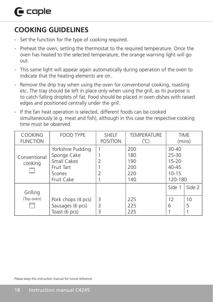### **COOKING GUIDELINES**

- Set the function for the type of cooking required.
- Preheat the oven, setting the thermostat to the required temperature. Once the oven has heated to the selected temperature, the orange warning light will go out.
- This same light will appear again automatically during operation of the oven to indicate that the heating elements are on.
- Remove the drip tray when using the oven for conventional cooking, roasting etc. The tray should be left in place only when using the grill, as its purpose is to catch falling droplets of fat. Food should be placed in oven dishes with raised edges and positioned centrally under the grill.
- If the fan heat operation is selected, different foods can be cooked simultaneously (e.g. meat and fish), although in this case the respective cooking time must be observed.

| <b>COOKING</b><br><b>FUNCTION</b> | FOOD TYPE                                                                             | <b>SHELF</b><br><b>POSITION</b> | <b>TEMPERATURE</b><br>$(^{\circ}C)$    |                                                                          | <b>TIME</b><br>(mins) |
|-----------------------------------|---------------------------------------------------------------------------------------|---------------------------------|----------------------------------------|--------------------------------------------------------------------------|-----------------------|
| Conventional<br>cooking           | Yorkshire Pudding<br>Sponge Cake<br>Small Cakes<br>Fruit Tart<br>Scones<br>Fruit Cake |                                 | 200<br>180<br>190<br>200<br>220<br>140 | $30 - 40$<br>$25 - 30$<br>$15 - 20$<br>$40 - 45$<br>$10 - 15$<br>120-180 |                       |
| Grilling                          |                                                                                       |                                 |                                        | Side 1                                                                   | Side 2                |
| (Top oven)<br><b>www</b>          | Pork chops (4 pcs)<br>Sausages (6 pcs)<br>Toast (6 pcs)                               | 3<br>3<br>3                     | 225<br>225<br>225                      | 12<br>6                                                                  | 10<br>5               |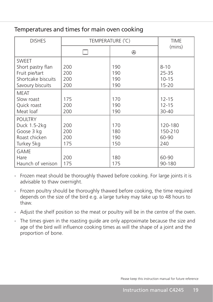#### Temperatures and times for main oven cooking

| <b>DISHES</b>      | TEMPERATURE (°C) |                | <b>TIME</b> |
|--------------------|------------------|----------------|-------------|
|                    |                  | $^{\circledR}$ | (mins)      |
| <b>SWEET</b>       |                  |                |             |
| Short pastry flan  | 200              | 190            | $8 - 10$    |
| Fruit pie/tart     | 200              | 190            | 25-35       |
| Shortcake biscuits | 200              | 190            | $10 - 15$   |
| Savoury biscuits   | 200              | 190            | $15 - 20$   |
| <b>MEAT</b>        |                  |                |             |
| Slow roast         | 175              | 170            | $12 - 15$   |
| Quick roast        | 200              | 190            | $12 - 15$   |
| Meat loaf          | 200              | 190            | 30-40       |
| <b>POULTRY</b>     |                  |                |             |
| Duck 1.5-2kg       | 200              | 170            | 120-180     |
| Goose 3 kg         | 200              | 180            | 150-210     |
| Roast chicken      | 200              | 190            | 60-90       |
| Turkey 5kg         | 175              | 150            | 240         |
| GAME               |                  |                |             |
| Hare               | 200              | 180            | 60-90       |
| Haunch of venison  | 175              | 175            | 90-180      |

- Frozen meat should be thoroughly thawed before cooking. For large joints it is advisable to thaw overnight.

- Frozen poultry should be thoroughly thawed before cooking, the time required depends on the size of the bird e.g. a large turkey may take up to 48 hours to thaw.
- Adjust the shelf position so the meat or poultry will be in the centre of the oven.
- The times given in the roasting guide are only approximate because the size and age of the bird will influence cooking times as will the shape of a joint and the proportion of bone.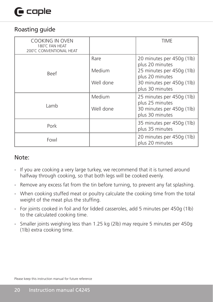## $\bigcap$  caple

#### Roasting guide

| <b>COOKING IN OVEN</b><br>180°C FAN HEAT<br>200°C CONVENTIONAL HEAT |           | TIME                                         |
|---------------------------------------------------------------------|-----------|----------------------------------------------|
|                                                                     | Rare      | 20 minutes per 450g (1lb)<br>plus 20 minutes |
| <b>Beef</b>                                                         | Medium    | 25 minutes per 450g (1lb)<br>plus 20 minutes |
|                                                                     | Well done | 30 minutes per 450g (1lb)<br>plus 30 minutes |
|                                                                     | Medium    | 25 minutes per 450g (1lb)<br>plus 25 minutes |
| Lamb                                                                | Well done | 30 minutes per 450g (1lb)<br>plus 30 minutes |
| Pork                                                                |           | 35 minutes per 450g (1lb)<br>plus 35 minutes |
| Fowl                                                                |           | 20 minutes per 450g (1lb)<br>plus 20 minutes |

#### Note:

- If you are cooking a very large turkey, we recommend that it is turned around halfway through cooking, so that both legs will be cooked evenly.
- Remove any excess fat from the tin before turning, to prevent any fat splashing.
- When cooking stuffed meat or poultry calculate the cooking time from the total weight of the meat plus the stuffing.
- For joints cooked in foil and for lidded casseroles, add 5 minutes per 450g (1lb) to the calculated cooking time.
- Smaller joints weighing less than 1.25 kg (2lb) may require 5 minutes per 450g (1lb) extra cooking time.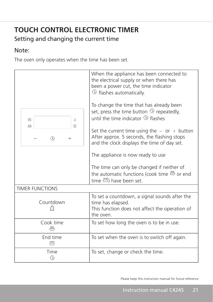### **TOUCH CONTROL ELECTRONIC TIMER**

#### Setting and changing the current time

#### Note:

The oven only operates when the time has been set.

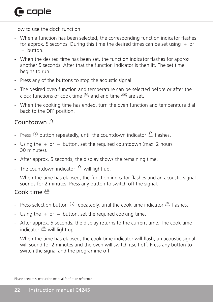## $\mathbf \Theta$  caple

How to use the clock function

- When a function has been selected, the corresponding function indicator flashes for approx. 5 seconds. During this time the desired times can be set using  $+$  or - button.
- When the desired time has been set, the function indicator flashes for approx. another 5 seconds. After that the function indicator is then lit. The set time begins to run.
- Press any of the buttons to stop the acoustic signal.
- The desired oven function and temperature can be selected before or after the clock functions of cook time  $\stackrel{\text{mm}}{\leftrightarrow}$  and end time  $\stackrel{\text{zero}}{\leftrightarrow}$  are set.
- When the cooking time has ended, turn the oven function and temperature dial back to the OFF position.

#### Countdown  $\triangle$

- Press  $\circledcirc$  button repeatedly, until the countdown indicator  $\Delta$  flashes.
- Using the  $+$  or  $-$  button, set the required countdown (max. 2 hours 30 minutes).
- After approx. 5 seconds, the display shows the remaining time.
- The countdown indicator  $\Omega$  will light up.
- When the time has elapsed, the function indicator flashes and an acoustic signal sounds for 2 minutes. Press any button to switch off the signal.

#### Cook time  $\overset{\hspace{0.1em}\mathsf{nm}}{\ominus}$

- Press selection button repeatedly, until the cook time indicator flashes.
- Using the  $+$  or  $-$  button, set the required cooking time.
- After approx. 5 seconds, the display returns to the current time. The cook time indicator  $\stackrel{\text{\tiny{def}}}{\leftrightarrow}$  will light up.
- When the time has elapsed, the cook time indicator will flash, an acoustic signal will sound for 2 minutes and the oven will switch itself off. Press any button to switch the signal and the programme off.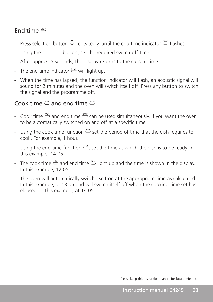#### $End$  time  $\overset{\text{stor}}{\equiv}$

- Press selection button  $\Im$  repeatedly, until the end time indicator  $\Im$  flashes.
- Using the  $+$  or  $-$  button, set the required switch-off time.
- After approx. 5 seconds, the display returns to the current time.
- The end time indicator  $\stackrel{\text{stop}}{=}$  will light up.
- When the time has lapsed, the function indicator will flash, an acoustic signal will sound for 2 minutes and the oven will switch itself off. Press any button to switch the signal and the programme off.

#### Cook time  $\stackrel{\text{\tiny{300}}}{\leftrightarrow}$  and end time  $\stackrel{\text{\tiny{300}}}{\leftrightarrow}$

- Cook time  $\stackrel{\text{mm}}{\longrightarrow}$  and end time  $\stackrel{\text{300}}{\longrightarrow}$  can be used simultaneously, if you want the oven to be automatically switched on and off at a specific time.
- Using the cook time function  $\stackrel{\text{def}}{\Longrightarrow}$  set the period of time that the dish requires to cook. For example, 1 hour.
- Using the end time function  $\stackrel{\text{see}}{\rightarrow}$ , set the time at which the dish is to be ready. In this example, 14:05.
- The cook time  $\stackrel{\text{def}}{\leftrightarrow}$  and end time  $\stackrel{\text{stor}}{\leftrightarrow}$  light up and the time is shown in the display. In this example, 12:05.
- The oven will automatically switch itself on at the appropriate time as calculated. In this example, at 13:05 and will switch itself off when the cooking time set has elapsed. In this example, at 14:05.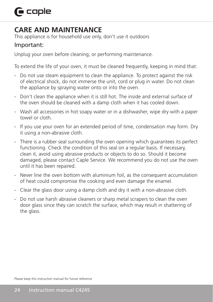## $\bigcap$  caple

#### **CARE AND MAINTENANCE**

This appliance is for household use only, don't use it outdoors

#### Important:

Unplug your oven before cleaning, or performing maintenance.

To extend the life of your oven, it must be cleaned frequently, keeping in mind that:

- Do not use steam equipment to clean the appliance. To protect against the risk of electrical shock, do not immerse the unit, cord or plug in water. Do not clean the appliance by spraying water onto or into the oven.
- Don't clean the appliance when it is still hot. The inside and external surface of the oven should be cleaned with a damp cloth when it has cooled down.
- Wash all accessories in hot soapy water or in a dishwasher, wipe dry with a paper towel or cloth.
- If you use your oven for an extended period of time, condensation may form. Dry it using a non-abrasive cloth.
- There is a rubber seal surrounding the oven opening which guarantees its perfect functioning. Check the condition of this seal on a regular basis. If necessary, clean it, avoid using abrasive products or objects to do so. Should it become damaged, please contact Caple Service. We recommend you do not use the oven until it has been repaired.
- Never line the oven bottom with aluminium foil, as the consequent accumulation of heat could compromise the cooking and even damage the enamel.
- Clear the glass door using a damp cloth and dry it with a non-abrasive cloth.
- Do not use harsh abrasive cleaners or sharp metal scrapers to clean the oven door glass since they can scratch the surface, which may result in shattering of the glass.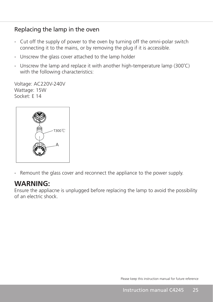#### Replacing the lamp in the oven

- Cut off the supply of power to the oven by turning off the omni-polar switch connecting it to the mains, or by removing the plug if it is accessible.
- Unscrew the glass cover attached to the lamp holder
- Unscrew the lamp and replace it with another high-temperature lamp (300˚C) with the following characteristics:

Voltage: AC220V-240V Wattage: 15W Socket: E 14



- Remount the glass cover and reconnect the appliance to the power supply.

#### **WARNING:**

Ensure the appliacne is unplugged before replacing the lamp to avoid the possibility of an electric shock.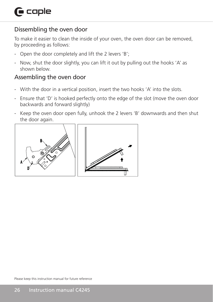#### Dissembling the oven door

To make it easier to clean the inside of your oven, the oven door can be removed, by proceeding as follows:

- Open the door completely and lift the 2 levers 'B';
- Now, shut the door slightly, you can lift it out by pulling out the hooks 'A' as shown below.

#### Assembling the oven door

- With the door in a vertical position, insert the two hooks 'A' into the slots.
- Ensure that 'D' is hooked perfectly onto the edge of the slot (move the oven door backwards and forward slightly)
- Keep the oven door open fully, unhook the 2 levers 'B' downwards and then shut the door again.

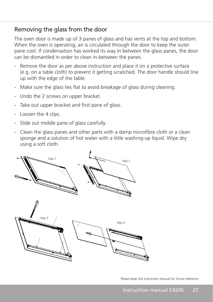#### Removing the glass from the door

The oven door is made up of 3 panes of glass and has vents at the top and bottom. When the oven is operating, air is circulated through the door to keep the outer pane cool. If condensation has worked its way in between the glass panes, the door can be dismantled in order to clean in-between the panes.

- Remove the door as per above instruction and place it on a protective surface (e.g. on a table cloth) to prevent it getting scratched. The door handle should line up with the edge of the table.
- Make sure the glass lies flat to avoid breakage of glass during cleaning.
- Undo the 2 screws on upper bracket.
- Take out upper bracket and first pane of glass.
- Loosen the 4 clips.
- Slide out middle pane of glass carefully.
- Clean the glass panes and other parts with a damp microfibre cloth or a clean sponge and a solution of hot water with a little washing-up liquid. Wipe dry using a soft cloth.

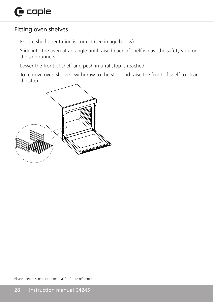#### Fitting oven shelves

- Ensure shelf orientation is correct (see image below)
- Slide into the oven at an angle until raised back of shelf is past the safety stop on the side runners.
- Lower the front of shelf and push in until stop is reached.
- To remove oven shelves, withdraw to the stop and raise the front of shelf to clear the stop.

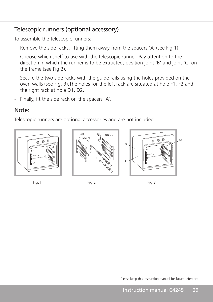#### Telescopic runners (optional accessory)

To assemble the telescopic runners:

- Remove the side racks, lifting them away from the spacers 'A' (see Fig.1)
- Choose which shelf to use with the telescopic runner. Pay attention to the direction in which the runner is to be extracted, position joint 'B' and joint 'C' on the frame (see Fig.2).
- Secure the two side racks with the guide rails using the holes provided on the oven walls (see Fig. 3).The holes for the left rack are situated at hole F1, F2 and the right rack at hole D1, D2.
- Finally, fit the side rack on the spacers 'A'.

#### Note:

Telescopic runners are optional accessories and are not included.







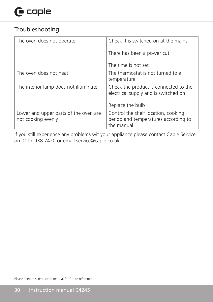## $\mathbf \Theta$  caple

#### Troubleshooting

| The oven does not operate                                   | Check it is switched on at the mains                                                      |
|-------------------------------------------------------------|-------------------------------------------------------------------------------------------|
|                                                             | There has been a power cut                                                                |
|                                                             | The time is not set                                                                       |
| The oven does not heat                                      | The thermostat is not turned to a<br>temperature                                          |
| The interior lamp does not illuminate                       | Check the product is connected to the<br>electrical supply and is switched on             |
|                                                             | Replace the bulb                                                                          |
| Lower and upper parts of the oven are<br>not cooking evenly | Control the shelf location, cooking<br>period and temperatures according to<br>the manual |

If you still experience any problems wit your appliance please contact Caple Service on 0117 938 7420 or email service@caple.co.uk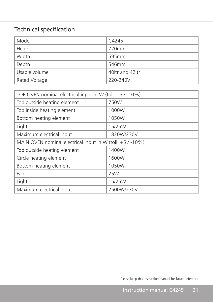### Technical specification

| Model         | $C_{4245}$      |
|---------------|-----------------|
| Height        | 720mm           |
| Width         | 595mm           |
| Depth         | 546mm           |
| Usable volume | 40ltr and 42ltr |
| Rated Voltage | 220-240V        |

| TOP OVEN nominal electrical input in W (toll. +5 / -10%)  |            |  |
|-----------------------------------------------------------|------------|--|
| Top outside heating element                               | 750W       |  |
| Top inside heating element                                | 1000W      |  |
| Bottom heating element                                    | 1050W      |  |
| Light                                                     | 15/25W     |  |
| Maximum electrical input                                  | 1820W/230V |  |
| MAIN OVEN nominal electrical input in W (toll. +5 / -10%) |            |  |
| Top outside heating element                               | 1400W      |  |
| Circle heating element                                    | 1600W      |  |
| Bottom heating element                                    | 1050W      |  |
| Fan                                                       | 25W        |  |
| Light                                                     | 15/25W     |  |
| Maximum electrical input                                  | 2500W/230V |  |